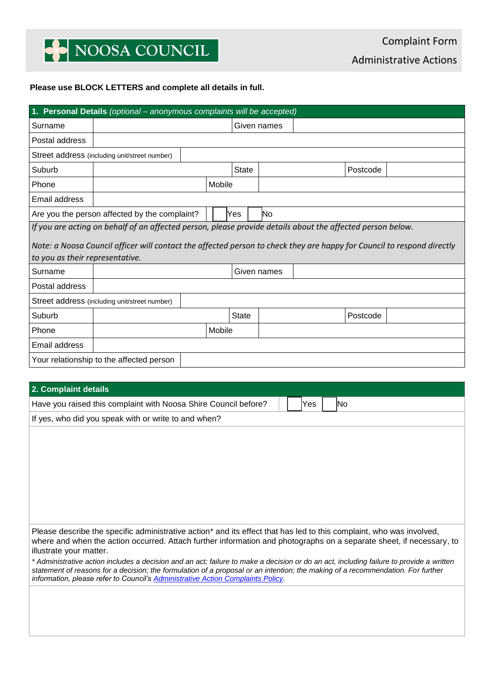# NOOSA COUNCIL

### **Please use BLOCK LETTERS and complete all details in full.**

| 1. Personal Details (optional - anonymous complaints will be accepted)                                                 |                                                            |  |        |              |             |             |  |          |  |  |
|------------------------------------------------------------------------------------------------------------------------|------------------------------------------------------------|--|--------|--------------|-------------|-------------|--|----------|--|--|
| Surname                                                                                                                |                                                            |  |        |              | Given names |             |  |          |  |  |
| Postal address                                                                                                         |                                                            |  |        |              |             |             |  |          |  |  |
|                                                                                                                        | Street address (including unit/street number)              |  |        |              |             |             |  |          |  |  |
| Suburb                                                                                                                 |                                                            |  |        | <b>State</b> |             |             |  | Postcode |  |  |
| Phone                                                                                                                  |                                                            |  | Mobile |              |             |             |  |          |  |  |
| Email address                                                                                                          |                                                            |  |        |              |             |             |  |          |  |  |
|                                                                                                                        | Are you the person affected by the complaint?<br>No<br>Yes |  |        |              |             |             |  |          |  |  |
| If you are acting on behalf of an affected person, please provide details about the affected person below.             |                                                            |  |        |              |             |             |  |          |  |  |
| Note: a Noosa Council officer will contact the affected person to check they are happy for Council to respond directly |                                                            |  |        |              |             |             |  |          |  |  |
| to you as their representative.                                                                                        |                                                            |  |        |              |             |             |  |          |  |  |
| Surname                                                                                                                |                                                            |  |        |              |             | Given names |  |          |  |  |
| Postal address                                                                                                         |                                                            |  |        |              |             |             |  |          |  |  |
|                                                                                                                        | Street address (including unit/street number)              |  |        |              |             |             |  |          |  |  |
| Suburb                                                                                                                 |                                                            |  |        | <b>State</b> |             |             |  | Postcode |  |  |
| Phone                                                                                                                  |                                                            |  | Mobile |              |             |             |  |          |  |  |
| Email address                                                                                                          |                                                            |  |        |              |             |             |  |          |  |  |
| Your relationship to the affected person                                                                               |                                                            |  |        |              |             |             |  |          |  |  |

## **2. Complaint details**

| Have you raised this complaint with Noosa Shire Council before?                                                                                                                                                                                                                                                                                               |  | Yes |  |  | lNo. |  |
|---------------------------------------------------------------------------------------------------------------------------------------------------------------------------------------------------------------------------------------------------------------------------------------------------------------------------------------------------------------|--|-----|--|--|------|--|
|                                                                                                                                                                                                                                                                                                                                                               |  |     |  |  |      |  |
| If yes, who did you speak with or write to and when?                                                                                                                                                                                                                                                                                                          |  |     |  |  |      |  |
|                                                                                                                                                                                                                                                                                                                                                               |  |     |  |  |      |  |
|                                                                                                                                                                                                                                                                                                                                                               |  |     |  |  |      |  |
|                                                                                                                                                                                                                                                                                                                                                               |  |     |  |  |      |  |
|                                                                                                                                                                                                                                                                                                                                                               |  |     |  |  |      |  |
|                                                                                                                                                                                                                                                                                                                                                               |  |     |  |  |      |  |
|                                                                                                                                                                                                                                                                                                                                                               |  |     |  |  |      |  |
|                                                                                                                                                                                                                                                                                                                                                               |  |     |  |  |      |  |
|                                                                                                                                                                                                                                                                                                                                                               |  |     |  |  |      |  |
| Please describe the specific administrative action* and its effect that has led to this complaint, who was involved,                                                                                                                                                                                                                                          |  |     |  |  |      |  |
| where and when the action occurred. Attach further information and photographs on a separate sheet, if necessary, to<br>illustrate your matter.                                                                                                                                                                                                               |  |     |  |  |      |  |
| * Administrative action includes a decision and an act; failure to make a decision or do an act, including failure to provide a written<br>statement of reasons for a decision; the formulation of a proposal or an intention; the making of a recommendation. For further<br>information, please refer to Council's Administrative Action Complaints Policy. |  |     |  |  |      |  |
|                                                                                                                                                                                                                                                                                                                                                               |  |     |  |  |      |  |
|                                                                                                                                                                                                                                                                                                                                                               |  |     |  |  |      |  |
|                                                                                                                                                                                                                                                                                                                                                               |  |     |  |  |      |  |
|                                                                                                                                                                                                                                                                                                                                                               |  |     |  |  |      |  |
|                                                                                                                                                                                                                                                                                                                                                               |  |     |  |  |      |  |